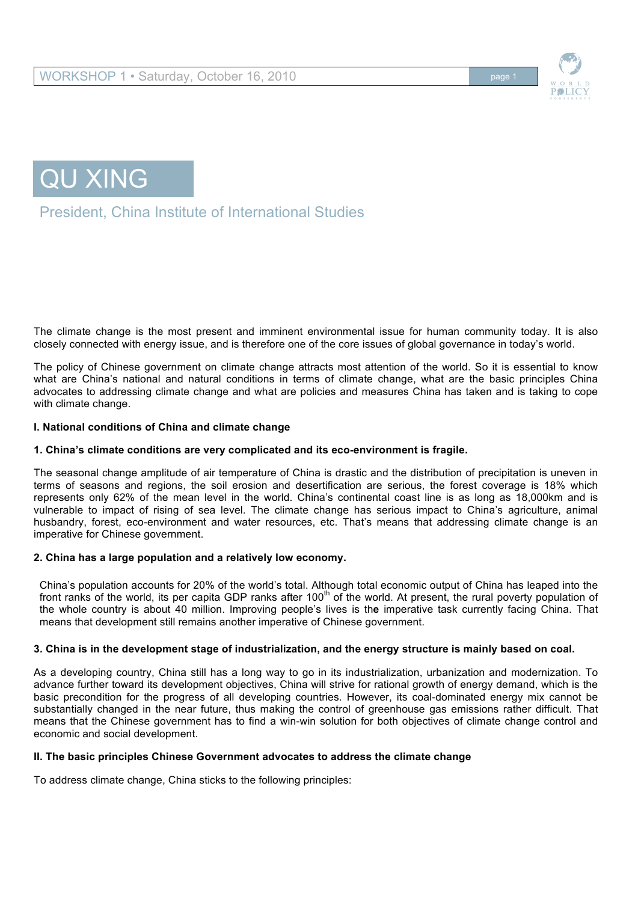



President, China Institute of International Studies

The climate change is the most present and imminent environmental issue for human community today. It is also closely connected with energy issue, and is therefore one of the core issues of global governance in today's world.

The policy of Chinese government on climate change attracts most attention of the world. So it is essential to know what are China's national and natural conditions in terms of climate change, what are the basic principles China advocates to addressing climate change and what are policies and measures China has taken and is taking to cope with climate change.

## **I. National conditions of China and climate change**

## **1. China's climate conditions are very complicated and its eco-environment is fragile.**

The seasonal change amplitude of air temperature of China is drastic and the distribution of precipitation is uneven in terms of seasons and regions, the soil erosion and desertification are serious, the forest coverage is 18% which represents only 62% of the mean level in the world. China's continental coast line is as long as 18,000km and is vulnerable to impact of rising of sea level. The climate change has serious impact to China's agriculture, animal husbandry, forest, eco-environment and water resources, etc. That's means that addressing climate change is an imperative for Chinese government.

## **2. China has a large population and a relatively low economy.**

China's population accounts for 20% of the world's total. Although total economic output of China has leaped into the front ranks of the world, its per capita GDP ranks after 100<sup>th</sup> of the world. At present, the rural poverty population of the whole country is about 40 million. Improving people's lives is th**e** imperative task currently facing China. That means that development still remains another imperative of Chinese government.

### **3. China is in the development stage of industrialization, and the energy structure is mainly based on coal.**

As a developing country, China still has a long way to go in its industrialization, urbanization and modernization. To advance further toward its development objectives, China will strive for rational growth of energy demand, which is the basic precondition for the progress of all developing countries. However, its coal-dominated energy mix cannot be substantially changed in the near future, thus making the control of greenhouse gas emissions rather difficult. That means that the Chinese government has to find a win-win solution for both objectives of climate change control and economic and social development.

### **II. The basic principles Chinese Government advocates to address the climate change**

To address climate change, China sticks to the following principles: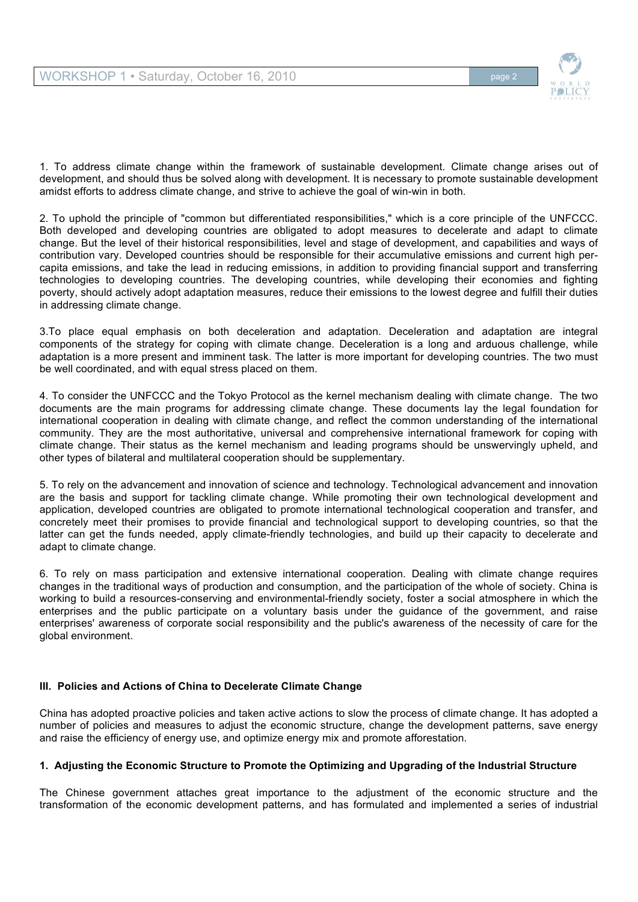

1. To address climate change within the framework of sustainable development. Climate change arises out of development, and should thus be solved along with development. It is necessary to promote sustainable development amidst efforts to address climate change, and strive to achieve the goal of win-win in both.

2. To uphold the principle of "common but differentiated responsibilities," which is a core principle of the UNFCCC. Both developed and developing countries are obligated to adopt measures to decelerate and adapt to climate change. But the level of their historical responsibilities, level and stage of development, and capabilities and ways of contribution vary. Developed countries should be responsible for their accumulative emissions and current high percapita emissions, and take the lead in reducing emissions, in addition to providing financial support and transferring technologies to developing countries. The developing countries, while developing their economies and fighting poverty, should actively adopt adaptation measures, reduce their emissions to the lowest degree and fulfill their duties in addressing climate change.

3.To place equal emphasis on both deceleration and adaptation. Deceleration and adaptation are integral components of the strategy for coping with climate change. Deceleration is a long and arduous challenge, while adaptation is a more present and imminent task. The latter is more important for developing countries. The two must be well coordinated, and with equal stress placed on them.

4. To consider the UNFCCC and the Tokyo Protocol as the kernel mechanism dealing with climate change. The two documents are the main programs for addressing climate change. These documents lay the legal foundation for international cooperation in dealing with climate change, and reflect the common understanding of the international community. They are the most authoritative, universal and comprehensive international framework for coping with climate change. Their status as the kernel mechanism and leading programs should be unswervingly upheld, and other types of bilateral and multilateral cooperation should be supplementary.

5. To rely on the advancement and innovation of science and technology. Technological advancement and innovation are the basis and support for tackling climate change. While promoting their own technological development and application, developed countries are obligated to promote international technological cooperation and transfer, and concretely meet their promises to provide financial and technological support to developing countries, so that the latter can get the funds needed, apply climate-friendly technologies, and build up their capacity to decelerate and adapt to climate change.

6. To rely on mass participation and extensive international cooperation. Dealing with climate change requires changes in the traditional ways of production and consumption, and the participation of the whole of society. China is working to build a resources-conserving and environmental-friendly society, foster a social atmosphere in which the enterprises and the public participate on a voluntary basis under the guidance of the government, and raise enterprises' awareness of corporate social responsibility and the public's awareness of the necessity of care for the global environment.

## **III. Policies and Actions of China to Decelerate Climate Change**

China has adopted proactive policies and taken active actions to slow the process of climate change. It has adopted a number of policies and measures to adjust the economic structure, change the development patterns, save energy and raise the efficiency of energy use, and optimize energy mix and promote afforestation.

### **1. Adjusting the Economic Structure to Promote the Optimizing and Upgrading of the Industrial Structure**

The Chinese government attaches great importance to the adjustment of the economic structure and the transformation of the economic development patterns, and has formulated and implemented a series of industrial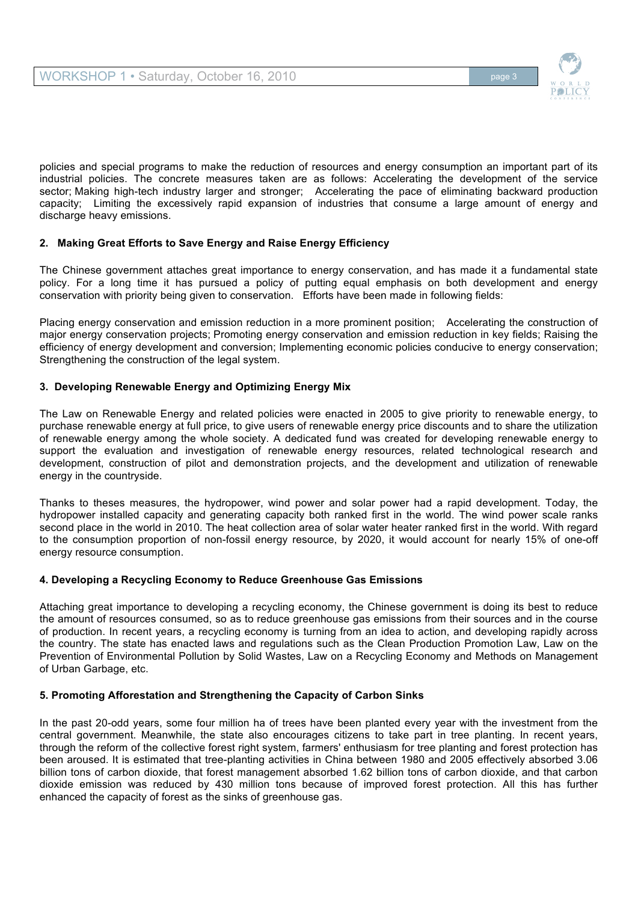

policies and special programs to make the reduction of resources and energy consumption an important part of its industrial policies. The concrete measures taken are as follows: Accelerating the development of the service sector; Making high-tech industry larger and stronger; Accelerating the pace of eliminating backward production capacity; Limiting the excessively rapid expansion of industries that consume a large amount of energy and discharge heavy emissions.

# **2. Making Great Efforts to Save Energy and Raise Energy Efficiency**

The Chinese government attaches great importance to energy conservation, and has made it a fundamental state policy. For a long time it has pursued a policy of putting equal emphasis on both development and energy conservation with priority being given to conservation. Efforts have been made in following fields:

Placing energy conservation and emission reduction in a more prominent position; Accelerating the construction of major energy conservation projects; Promoting energy conservation and emission reduction in key fields; Raising the efficiency of energy development and conversion; Implementing economic policies conducive to energy conservation; Strengthening the construction of the legal system.

## **3. Developing Renewable Energy and Optimizing Energy Mix**

The Law on Renewable Energy and related policies were enacted in 2005 to give priority to renewable energy, to purchase renewable energy at full price, to give users of renewable energy price discounts and to share the utilization of renewable energy among the whole society. A dedicated fund was created for developing renewable energy to support the evaluation and investigation of renewable energy resources, related technological research and development, construction of pilot and demonstration projects, and the development and utilization of renewable energy in the countryside.

Thanks to theses measures, the hydropower, wind power and solar power had a rapid development. Today, the hydropower installed capacity and generating capacity both ranked first in the world. The wind power scale ranks second place in the world in 2010. The heat collection area of solar water heater ranked first in the world. With regard to the consumption proportion of non-fossil energy resource, by 2020, it would account for nearly 15% of one-off energy resource consumption.

## **4. Developing a Recycling Economy to Reduce Greenhouse Gas Emissions**

Attaching great importance to developing a recycling economy, the Chinese government is doing its best to reduce the amount of resources consumed, so as to reduce greenhouse gas emissions from their sources and in the course of production. In recent years, a recycling economy is turning from an idea to action, and developing rapidly across the country. The state has enacted laws and regulations such as the Clean Production Promotion Law, Law on the Prevention of Environmental Pollution by Solid Wastes, Law on a Recycling Economy and Methods on Management of Urban Garbage, etc.

## **5. Promoting Afforestation and Strengthening the Capacity of Carbon Sinks**

In the past 20-odd years, some four million ha of trees have been planted every year with the investment from the central government. Meanwhile, the state also encourages citizens to take part in tree planting. In recent years, through the reform of the collective forest right system, farmers' enthusiasm for tree planting and forest protection has been aroused. It is estimated that tree-planting activities in China between 1980 and 2005 effectively absorbed 3.06 billion tons of carbon dioxide, that forest management absorbed 1.62 billion tons of carbon dioxide, and that carbon dioxide emission was reduced by 430 million tons because of improved forest protection. All this has further enhanced the capacity of forest as the sinks of greenhouse gas.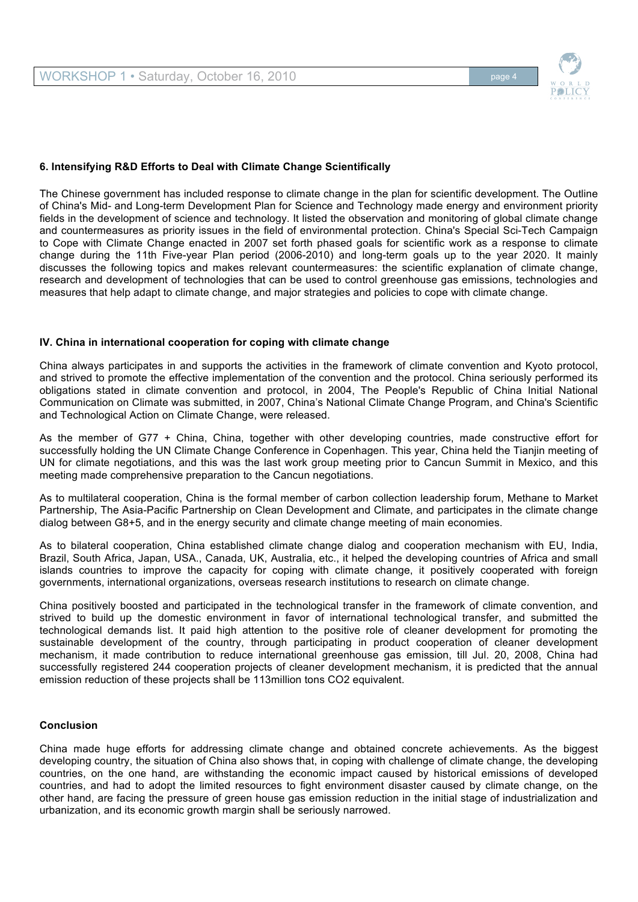

### **6. Intensifying R&D Efforts to Deal with Climate Change Scientifically**

The Chinese government has included response to climate change in the plan for scientific development. The Outline of China's Mid- and Long-term Development Plan for Science and Technology made energy and environment priority fields in the development of science and technology. It listed the observation and monitoring of global climate change and countermeasures as priority issues in the field of environmental protection. China's Special Sci-Tech Campaign to Cope with Climate Change enacted in 2007 set forth phased goals for scientific work as a response to climate change during the 11th Five-year Plan period (2006-2010) and long-term goals up to the year 2020. It mainly discusses the following topics and makes relevant countermeasures: the scientific explanation of climate change, research and development of technologies that can be used to control greenhouse gas emissions, technologies and measures that help adapt to climate change, and major strategies and policies to cope with climate change.

### **IV. China in international cooperation for coping with climate change**

China always participates in and supports the activities in the framework of climate convention and Kyoto protocol, and strived to promote the effective implementation of the convention and the protocol. China seriously performed its obligations stated in climate convention and protocol, in 2004, The People's Republic of China Initial National Communication on Climate was submitted, in 2007, China's National Climate Change Program, and China's Scientific and Technological Action on Climate Change, were released.

As the member of G77 + China, China, together with other developing countries, made constructive effort for successfully holding the UN Climate Change Conference in Copenhagen. This year, China held the Tianjin meeting of UN for climate negotiations, and this was the last work group meeting prior to Cancun Summit in Mexico, and this meeting made comprehensive preparation to the Cancun negotiations.

As to multilateral cooperation, China is the formal member of carbon collection leadership forum, Methane to Market Partnership, The Asia-Pacific Partnership on Clean Development and Climate, and participates in the climate change dialog between G8+5, and in the energy security and climate change meeting of main economies.

As to bilateral cooperation, China established climate change dialog and cooperation mechanism with EU, India, Brazil, South Africa, Japan, USA., Canada, UK, Australia, etc., it helped the developing countries of Africa and small islands countries to improve the capacity for coping with climate change, it positively cooperated with foreign governments, international organizations, overseas research institutions to research on climate change.

China positively boosted and participated in the technological transfer in the framework of climate convention, and strived to build up the domestic environment in favor of international technological transfer, and submitted the technological demands list. It paid high attention to the positive role of cleaner development for promoting the sustainable development of the country, through participating in product cooperation of cleaner development mechanism, it made contribution to reduce international greenhouse gas emission, till Jul. 20, 2008, China had successfully registered 244 cooperation projects of cleaner development mechanism, it is predicted that the annual emission reduction of these projects shall be 113million tons CO2 equivalent.

### **Conclusion**

China made huge efforts for addressing climate change and obtained concrete achievements. As the biggest developing country, the situation of China also shows that, in coping with challenge of climate change, the developing countries, on the one hand, are withstanding the economic impact caused by historical emissions of developed countries, and had to adopt the limited resources to fight environment disaster caused by climate change, on the other hand, are facing the pressure of green house gas emission reduction in the initial stage of industrialization and urbanization, and its economic growth margin shall be seriously narrowed.